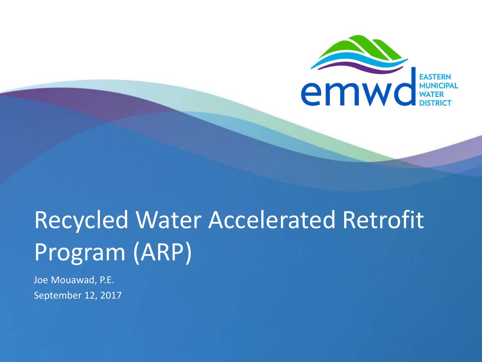

# Recycled Water Accelerated Retrofit Program (ARP)

Joe Mouawad, P.E. September 12, 2017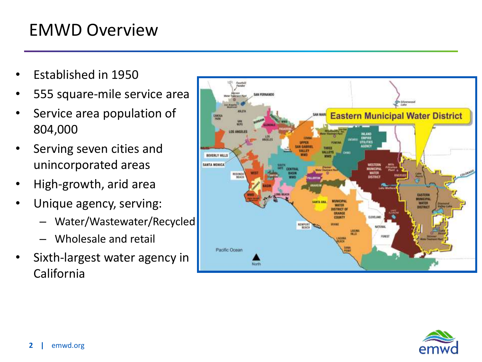#### EMWD Overview

- Established in 1950
- 555 square-mile service area
- Service area population of 804,000
- Serving seven cities and unincorporated areas
- High-growth, arid area
- Unique agency, serving:
	- Water/Wastewater/Recycled
	- Wholesale and retail
- Sixth-largest water agency in California



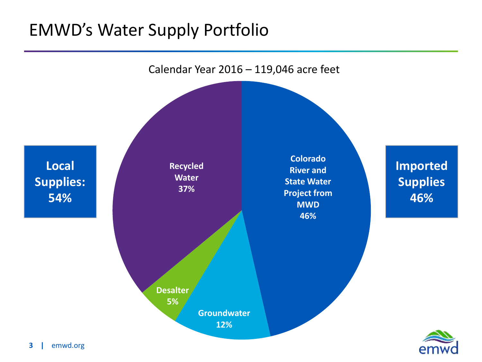#### EMWD's Water Supply Portfolio

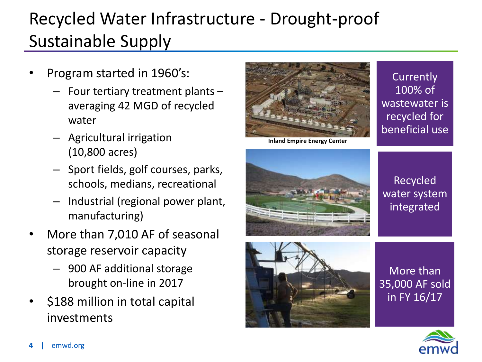## Recycled Water Infrastructure - Drought-proof Sustainable Supply

- Program started in 1960's:
	- Four tertiary treatment plants averaging 42 MGD of recycled water
	- Agricultural irrigation (10,800 acres)
	- Sport fields, golf courses, parks, schools, medians, recreational
	- Industrial (regional power plant, manufacturing)
- More than 7,010 AF of seasonal storage reservoir capacity
	- 900 AF additional storage brought on-line in 2017
- \$188 million in total capital investments



**Inland Empire Energy Center**

**Currently** 100% of wastewater is recycled for beneficial use



Recycled water system integrated



More than 35,000 AF sold in FY 16/17

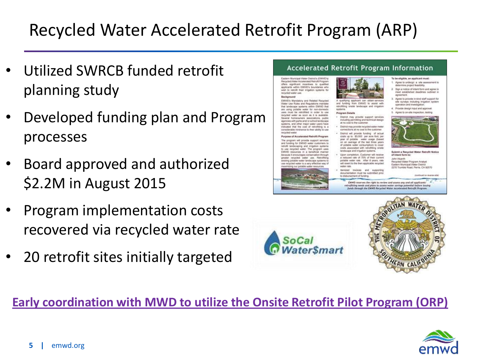### Recycled Water Accelerated Retrofit Program (ARP)

- Utilized SWRCB funded retrofit planning study
- Developed funding plan and Program processes
- Board approved and authorized \$2.2M in August 2015
- Program implementation costs recovered via recycled water rate
- 20 retrofit sites initially targeted

#### Accelerated Retrofit Program Information

Eastern Municipal Water Oldrich, (EMWD) Recyclind Water Access west Retrofit Program offers significant incentives to qui applicants within EMWD's boundaries who wish to retrofit their irrigation systems for recycled water use Background

EMWD's Mandatory and Related Recycle ter Use Rules and Regulations ma that landscape aystems within EMMD that water for non-dom are must be retrofited in order to us ecycled water as soon as it is available homeowners associations, public spencies with parks and/or school landscape systems, and other major water users have<br>notcated that the cost of retrofiting is a considerable hindrance to their ability to us

Purpose of Accelerated Retrofit Program The program will provide support services and funding for EMWD water custs wtroffi landszaping and irrigation systems use recycled water. The program use sources in a beneficial manne because it encourages conservation through recycled water use. Retroft Ing potatte water landscape systems t led water is a very effective way o





**Program Details** District may provide support services

- including permitting and technical design at no cost to the customer District may provide recycled water met
- connections at no cost to the customer District will provide funding of actual costs up to \$5,000 per acre foot, per year of potable water saage (based an average of the last three years of potable water consumption) to cove costs associated with retrofitting orisis
- andscape and intgation systems. Lipon completion, Customer will receive a reduced rate of 75% of their current<br>potable water rate. After it years, rate will nevert to the then applicable recycled water rate

tenized invoices and supporting documentation must be submitted prior writ of funding



To be eligible, an applicant must:

1. Agree to undergo a site asses

operation and investigat

agreement.

ermine project feasibility

Provide design input and approv

5. Agree to on-site inspection, testing

Sign a notice of intent form and agree to

meet established deadlines outlined in

Agree to provide in kind staff support for

she surveys including irrigation system

mit a Recycled Water Retrofit Not of intent form to: John Wuerth

Recycled Water Program Analyst Eastern Municipal Water District 2270 Trumble Road, Perris, CA 92570

EMWD reserves the right to review and assess any and all applicants' trofitting needs and plans to assess water savings potential before issuing<br>funds through the EMMD Recycled Water Accelerated Retrofit Program.





#### **Early coordination with MWD to utilize the Onsite Retrofit Pilot Program (ORP)**

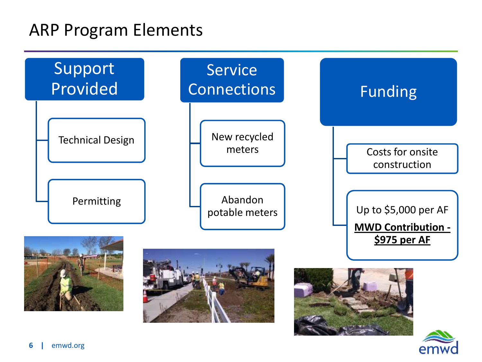#### ARP Program Elements

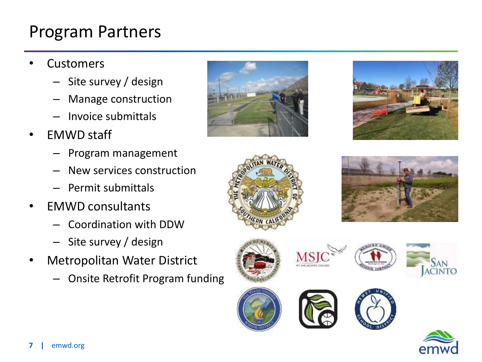### Program Partners

- **Customers** 
	- Site survey / design
	- Manage construction
	- Invoice submittals
- EMWD staff
	- Program management
	- New services construction
	- Permit submittals
- EMWD consultants
	- Coordination with DDW
	- Site survey / design
- Metropolitan Water District
	- Onsite Retrofit Program funding





















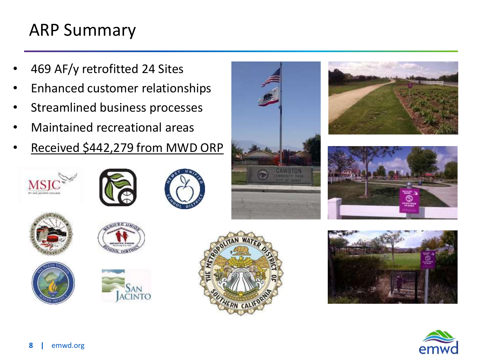#### ARP Summary

- 469 AF/y retrofitted 24 Sites
- Enhanced customer relationships
- Streamlined business processes
- Maintained recreational areas
- Received \$442,279 from MWD ORP























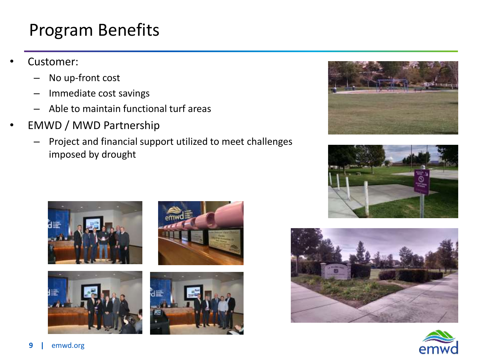#### Program Benefits

- Customer:
	- No up-front cost
	- Immediate cost savings
	- Able to maintain functional turf areas
- EMWD / MWD Partnership
	- Project and financial support utilized to meet challenges imposed by drought















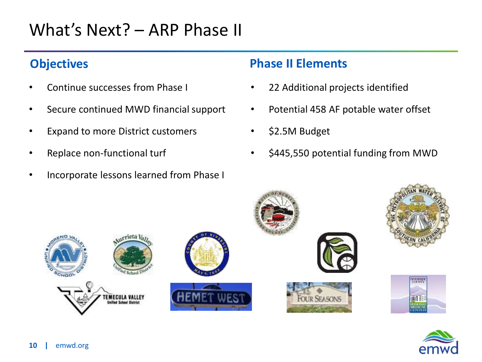#### What's Next? – ARP Phase II

#### **Objectives**

- Continue successes from Phase I
- Secure continued MWD financial support
- Expand to more District customers
- Replace non-functional turf
- Incorporate lessons learned from Phase I

#### **Phase II Elements**

- 22 Additional projects identified
- Potential 458 AF potable water offset
- \$2.5M Budget
- \$445,550 potential funding from MWD